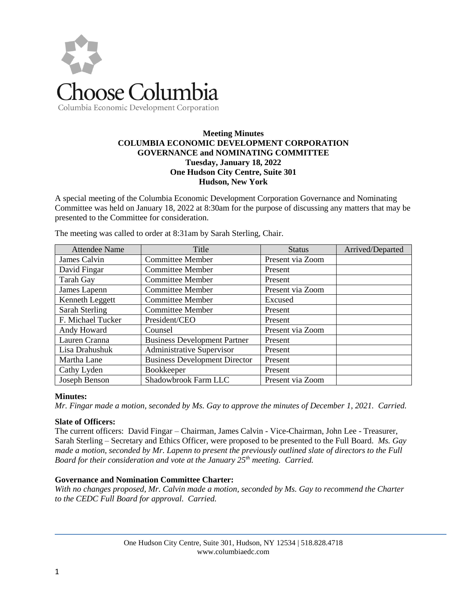

# **Meeting Minutes COLUMBIA ECONOMIC DEVELOPMENT CORPORATION GOVERNANCE and NOMINATING COMMITTEE Tuesday, January 18, 2022 One Hudson City Centre, Suite 301 Hudson, New York**

A special meeting of the Columbia Economic Development Corporation Governance and Nominating Committee was held on January 18, 2022 at 8:30am for the purpose of discussing any matters that may be presented to the Committee for consideration.

| <b>Attendee Name</b> | Title                                | <b>Status</b>    | Arrived/Departed |
|----------------------|--------------------------------------|------------------|------------------|
| James Calvin         | <b>Committee Member</b>              | Present via Zoom |                  |
| David Fingar         | <b>Committee Member</b>              | Present          |                  |
| Tarah Gay            | <b>Committee Member</b>              | Present          |                  |
| James Lapenn         | <b>Committee Member</b>              | Present via Zoom |                  |
| Kenneth Leggett      | <b>Committee Member</b>              | Excused          |                  |
| Sarah Sterling       | <b>Committee Member</b>              | Present          |                  |
| F. Michael Tucker    | President/CEO                        | Present          |                  |
| Andy Howard          | Counsel                              | Present via Zoom |                  |
| Lauren Cranna        | <b>Business Development Partner</b>  | Present          |                  |
| Lisa Drahushuk       | Administrative Supervisor            | Present          |                  |
| Martha Lane          | <b>Business Development Director</b> | Present          |                  |
| Cathy Lyden          | Bookkeeper                           | Present          |                  |
| Joseph Benson        | Shadowbrook Farm LLC                 | Present via Zoom |                  |

The meeting was called to order at 8:31am by Sarah Sterling, Chair.

# **Minutes:**

*Mr. Fingar made a motion, seconded by Ms. Gay to approve the minutes of December 1, 2021. Carried.*

#### **Slate of Officers:**

The current officers: David Fingar – Chairman, James Calvin - Vice-Chairman, John Lee - Treasurer, Sarah Sterling – Secretary and Ethics Officer, were proposed to be presented to the Full Board. *Ms. Gay made a motion, seconded by Mr. Lapenn to present the previously outlined slate of directors to the Full Board for their consideration and vote at the January 25th meeting. Carried.*

#### **Governance and Nomination Committee Charter:**

*With no changes proposed, Mr. Calvin made a motion, seconded by Ms. Gay to recommend the Charter to the CEDC Full Board for approval. Carried.*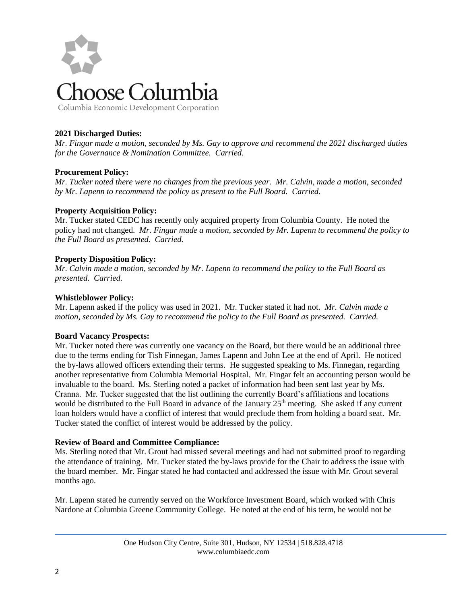

# **2021 Discharged Duties:**

*Mr. Fingar made a motion, seconded by Ms. Gay to approve and recommend the 2021 discharged duties for the Governance & Nomination Committee. Carried.*

# **Procurement Policy:**

*Mr. Tucker noted there were no changes from the previous year. Mr. Calvin, made a motion, seconded by Mr. Lapenn to recommend the policy as present to the Full Board. Carried.* 

## **Property Acquisition Policy:**

Mr. Tucker stated CEDC has recently only acquired property from Columbia County. He noted the policy had not changed. *Mr. Fingar made a motion, seconded by Mr. Lapenn to recommend the policy to the Full Board as presented. Carried.*

## **Property Disposition Policy:**

*Mr. Calvin made a motion, seconded by Mr. Lapenn to recommend the policy to the Full Board as presented. Carried.*

## **Whistleblower Policy:**

Mr. Lapenn asked if the policy was used in 2021. Mr. Tucker stated it had not. *Mr. Calvin made a motion, seconded by Ms. Gay to recommend the policy to the Full Board as presented. Carried.*

#### **Board Vacancy Prospects:**

Mr. Tucker noted there was currently one vacancy on the Board, but there would be an additional three due to the terms ending for Tish Finnegan, James Lapenn and John Lee at the end of April. He noticed the by-laws allowed officers extending their terms. He suggested speaking to Ms. Finnegan, regarding another representative from Columbia Memorial Hospital. Mr. Fingar felt an accounting person would be invaluable to the board. Ms. Sterling noted a packet of information had been sent last year by Ms. Cranna. Mr. Tucker suggested that the list outlining the currently Board's affiliations and locations would be distributed to the Full Board in advance of the January 25<sup>th</sup> meeting. She asked if any current loan holders would have a conflict of interest that would preclude them from holding a board seat. Mr. Tucker stated the conflict of interest would be addressed by the policy.

#### **Review of Board and Committee Compliance:**

Ms. Sterling noted that Mr. Grout had missed several meetings and had not submitted proof to regarding the attendance of training. Mr. Tucker stated the by-laws provide for the Chair to address the issue with the board member. Mr. Fingar stated he had contacted and addressed the issue with Mr. Grout several months ago.

Mr. Lapenn stated he currently served on the Workforce Investment Board, which worked with Chris Nardone at Columbia Greene Community College. He noted at the end of his term, he would not be